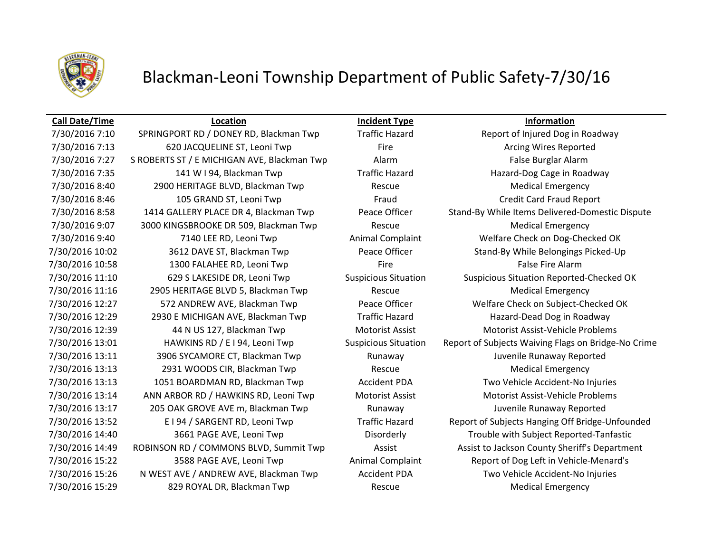

## Blackman-Leoni Township Department of Public Safety-7/30/16

### **Call Date/Time Location Incident Type Information**

7/30/2016 7:13 620 JACQUELINE ST, Leoni Twp Fire Fire Reported Arcing Wires Reported 7/30/2016 7:27 S ROBERTS ST / E MICHIGAN AVE, Blackman Twp Alarm Alarm False Burglar Alarm 7/30/2016 7:35 141 W I 94, Blackman Twp Traffic Hazard Hazard-Dog Cage in Roadway 7/30/2016 8:40 2900 HERITAGE BLVD, Blackman Twp Rescue Medical Emergency 7/30/2016 8:46 105 GRAND ST, Leoni Twp Fraud Fraud Credit Card Fraud Report 7/30/2016 9:07 3000 KINGSBROOKE DR 509, Blackman Twp Rescue Medical Emergency 7/30/2016 9:40 T140 LEE RD, Leoni Twp Animal Complaint Welfare Check on Dog-Checked OK 7/30/2016 10:58 1300 FALAHEE RD, Leoni Twp Fire Fire Fire False Fire Alarm 7/30/2016 11:16 2905 HERITAGE BLVD 5, Blackman Twp Rescue Rescue Medical Emergency 7/30/2016 12:29 2930 E MICHIGAN AVE, Blackman Twp Traffic Hazard Hazard Hazard-Dead Dog in Roadway 7/30/2016 12:39 44 N US 127, Blackman Twp Motorist Assist Motorist Assist-Vehicle Problems 7/30/2016 13:11 3906 SYCAMORE CT, Blackman Twp **Runaway Runaway State State Control** Burenile Runaway Reported 7/30/2016 13:13 2931 WOODS CIR, Blackman Twp Rescue Rescue Medical Emergency 7/30/2016 13:13 1051 BOARDMAN RD, Blackman Twp Accident PDA Two Vehicle Accident-No Injuries 7/30/2016 13:14 ANN ARBOR RD / HAWKINS RD, Leoni Twp Motorist Assist Motorist Assist-Vehicle Problems 7/30/2016 13:17 205 OAK GROVE AVE m, Blackman Twp Runaway Runaway Juvenile Runaway Reported 7/30/2016 15:26 N WEST AVE / ANDREW AVE, Blackman Twp Accident PDA Two Vehicle Accident-No Injuries 7/30/2016 15:29 829 ROYAL DR, Blackman Twp Rescue Medical Emergency

7/30/2016 7:10 SPRINGPORT RD / DONEY RD, Blackman Twp Traffic Hazard Report of Injured Dog in Roadway 7/30/2016 8:58 1414 GALLERY PLACE DR 4, Blackman Twp Peace Officer Stand-By While Items Delivered-Domestic Dispute 7/30/2016 10:02 3612 DAVE ST, Blackman Twp Peace Officer Stand-By While Belongings Picked-Up 7/30/2016 11:10 629 S LAKESIDE DR, Leoni Twp Suspicious Situation Suspicious Situation Reported-Checked OK 7/30/2016 12:27 572 ANDREW AVE, Blackman Twp Peace Officer Welfare Check on Subject-Checked OK 7/30/2016 13:01 HAWKINS RD / E I 94, Leoni Twp Suspicious Situation Report of Subjects Waiving Flags on Bridge-No Crime 7/30/2016 13:52 E I 94 / SARGENT RD, Leoni Twp Traffic Hazard Report of Subjects Hanging Off Bridge-Unfounded 7/30/2016 14:40 3661 PAGE AVE, Leoni Twp Disorderly Trouble with Subject Reported-Tanfastic 7/30/2016 14:49 ROBINSON RD / COMMONS BLVD, Summit Twp Assist Assist Assist to Jackson County Sheriff's Department 7/30/2016 15:22 3588 PAGE AVE, Leoni Twp Animal Complaint Report of Dog Left in Vehicle-Menard's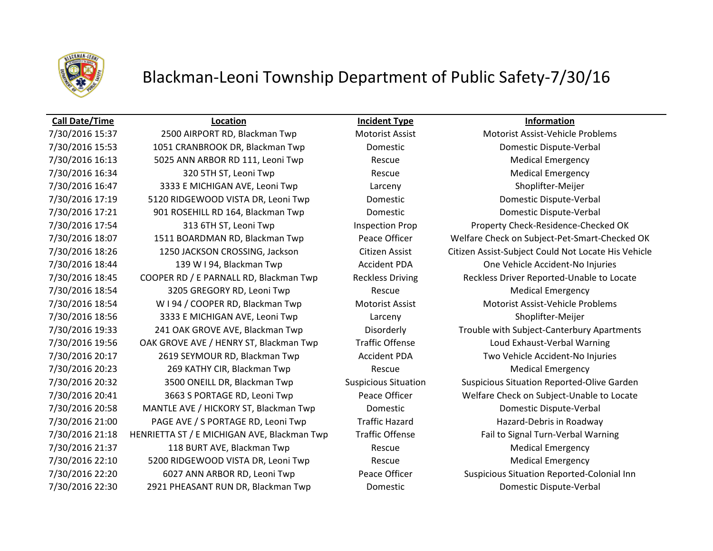

## Blackman-Leoni Township Department of Public Safety-7/30/16

7/30/2016 15:37 2500 AIRPORT RD, Blackman Twp Motorist Assist Motorist Assist-Vehicle Problems 7/30/2016 15:53 1051 CRANBROOK DR, Blackman Twp Domestic Domestic Dispute-Verbal 7/30/2016 16:13 5025 ANN ARBOR RD 111, Leoni Twp Rescue Rescue Medical Emergency 7/30/2016 16:34 320 5TH ST, Leoni Twp Rescue Rescue Medical Emergency 7/30/2016 16:47 3333 E MICHIGAN AVE, Leoni Twp Larceny Larceny Shoplifter-Meijer 7/30/2016 17:19 5120 RIDGEWOOD VISTA DR, Leoni Twp Domestic Domestic Dispute-Verbal 7/30/2016 17:21 901 ROSEHILL RD 164, Blackman Twp Domestic Domestic Dispute-Verbal 7/30/2016 17:54 313 6TH ST, Leoni Twp Inspection Prop Property Check-Residence-Checked OK 7/30/2016 18:44 139 W I 94, Blackman Twp Accident PDA One Vehicle Accident-No Injuries 7/30/2016 18:54 3205 GREGORY RD, Leoni Twp Rescue Rescue Medical Emergency 7/30/2016 18:54 W I 94 / COOPER RD, Blackman Twp Motorist Assist Motorist Assist Motorist Assist-Vehicle Problems 7/30/2016 18:56 3333 E MICHIGAN AVE, Leoni Twp Larceny Larceny Shoplifter-Meijer 7/30/2016 19:56 OAK GROVE AVE / HENRY ST, Blackman Twp Traffic Offense Loud Exhaust-Verbal Warning 7/30/2016 20:17 2619 SEYMOUR RD, Blackman Twp Accident PDA Two Vehicle Accident-No Injuries 7/30/2016 20:23 269 KATHY CIR, Blackman Twp Rescue Medical Emergency 7/30/2016 20:58 MANTLE AVE / HICKORY ST, Blackman Twp Domestic Domestic Dispute-Verbal 7/30/2016 21:00 PAGE AVE / S PORTAGE RD, Leoni Twp Traffic Hazard Hazard Hazard-Debris in Roadway 7/30/2016 21:18 HENRIETTA ST / E MICHIGAN AVE, Blackman Twp Traffic Offense Fail to Signal Turn-Verbal Warning 7/30/2016 21:37 118 BURT AVE, Blackman Twp Rescue Medical Emergency 7/30/2016 22:10 5200 RIDGEWOOD VISTA DR, Leoni Twp Rescue Rescue Medical Emergency 7/30/2016 22:30 2921 PHEASANT RUN DR, Blackman Twp Domestic Domestic Dispute-Verbal

**Call Date/Time Location Incident Type Information**

7/30/2016 18:07 1511 BOARDMAN RD, Blackman Twp Peace Officer Welfare Check on Subject-Pet-Smart-Checked OK 7/30/2016 18:26 1250 JACKSON CROSSING, Jackson Citizen Assist Citizen Assist-Subject Could Not Locate His Vehicle 7/30/2016 18:45 COOPER RD / E PARNALL RD, Blackman Twp Reckless Driving Reckless Driver Reported-Unable to Locate 7/30/2016 19:33 241 OAK GROVE AVE, Blackman Twp Disorderly Trouble with Subject-Canterbury Apartments 7/30/2016 20:32 3500 ONEILL DR, Blackman Twp Suspicious Situation Suspicious Situation Reported-Olive Garden 7/30/2016 20:41 3663 S PORTAGE RD, Leoni Twp Peace Officer Welfare Check on Subject-Unable to Locate 7/30/2016 22:20 6027 ANN ARBOR RD, Leoni Twp Peace Officer Suspicious Situation Reported-Colonial Inn